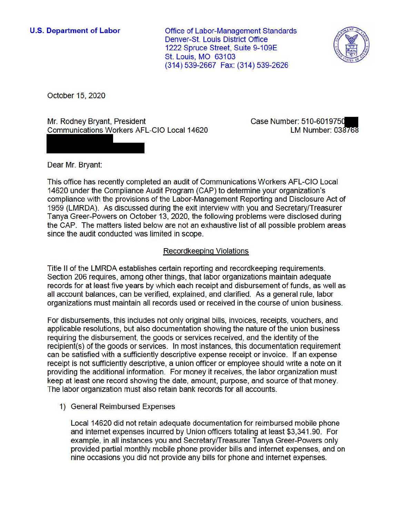**U.S. Department of Labor** 

Office of Labor-Management Standards Denver-St. Louis District Office 1222 Spruce Street, Suite 9-109E St. Louis, MO 63103 (314) 539-2667 Fax: (314) 539-2626



October 15, 2020

Mr. Rodney Bryant, President Communications Workers AFL-CIO Local 14620 Case Number: **510-601975cllll**  LM Number: 038768

Dear Mr. Bryant:

This office has recently completed an audit of Communications Workers AFL-CIO Local 14620 under the Compliance Audit Program (CAP) to determine your organization's compliance with the provisions of the Labor-Management Reporting and Disclosure Act of 1959 (LMRDA). As discussed during the exit interview with you and Secretary/Treasurer Tanya Greer-Powers on October 13, 2020, the following problems were disclosed during the CAP. The matters listed below are not an exhaustive list of all possible problem areas since the audit conducted was limited in scope.

## Recordkeeping Violations

Title II of the LMRDA establishes certain reporting and recordkeeping requirements. Section 206 requires, among other things, that labor organizations maintain adequate records for at least five years by which each receipt and disbursement of funds, as well as all account balances, can be verified, explained, and clarified. As a general rule, labor organizations must maintain all records used or received in the course of union business.

For disbursements, this includes not only original bills, invoices, receipts, vouchers, and applicable resolutions, but also documentation showing the nature of the union business requiring the disbursement, the goods or services received, and the identity of the recipient(s) of the goods or services. In most instances, this documentation requirement can be satisfied with a sufficiently descriptive expense receipt or invoice. If an expense receipt is not sufficiently descriptive, a union officer or employee should write a note on it providing the additional information. For money it receives, the labor organization must keep at least one record showing the date, amount, purpose, and source of that money. The labor organization must also retain bank records for all accounts.

## 1) General Reimbursed Expenses

Local 14620 did not retain adequate documentation for reimbursed mobile phone and internet expenses incurred by Union officers totaling at least \$3,341 .90. For example, in all instances you and Secretary/Treasurer Tanya Greer-Powers only provided partial monthly mobile phone provider bills and internet expenses, and on nine occasions you did not provide any bills for phone and internet expenses.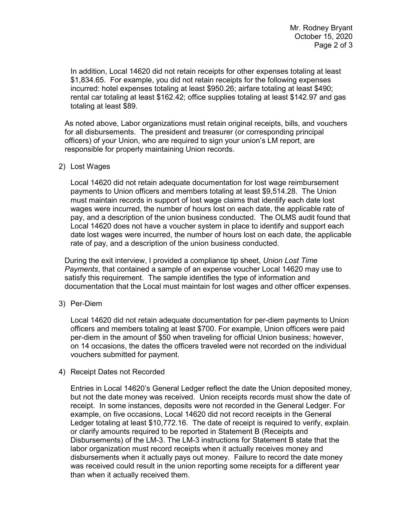[\\$1,834.65.](https://1,834.65) For example, you did not retain receipts for the following expenses In addition, Local 14620 did not retain receipts for other expenses totaling at least incurred: hotel expenses totaling at least \$950.26; airfare totaling at least \$490; rental car totaling at least \$162.42; office supplies totaling at least \$142.97 and gas totaling at least \$89.

 officers) of your Union, who are required to sign your union's LM report, are responsible for properly maintaining Union records. As noted above, Labor organizations must retain original receipts, bills, and vouchers for all disbursements. The president and treasurer (or corresponding principal

## 2) Lost Wages

 payments to Union officers and members totaling at least \$[9,514.28.](https://9,514.28) The Union pay, and a description of the union business conducted. The OLMS audit found that date lost wages were incurred, the number of hours lost on each date, the applicable Local 14620 did not retain adequate documentation for lost wage reimbursement must maintain records in support of lost wage claims that identify each date lost wages were incurred, the number of hours lost on each date, the applicable rate of Local 14620 does not have a voucher system in place to identify and support each rate of pay, and a description of the union business conducted.

 documentation that the Local must maintain for lost wages and other officer expenses. During the exit interview, I provided a compliance tip sheet, *Union Lost Time Payments*, that contained a sample of an expense voucher Local 14620 may use to satisfy this requirement. The sample identifies the type of information and

3) Per-Diem

Local 14620 did not retain adequate documentation for per-diem payments to Union officers and members totaling at least \$700. For example, Union officers were paid per-diem in the amount of \$50 when traveling for official Union business; however, on 14 occasions, the dates the officers traveled were not recorded on the individual vouchers submitted for payment.

4) Receipt Dates not Recorded

 but not the date money was received. Union receipts records must show the date of Ledger totaling at least \$[10,772.16.](https://10,772.16) The date of receipt is required to verify, explain, Entries in Local 14620's General Ledger reflect the date the Union deposited money, receipt. In some instances, deposits were not recorded in the General Ledger. For example, on five occasions, Local 14620 did not record receipts in the General or clarify amounts required to be reported in Statement B (Receipts and Disbursements) of the LM-3. The LM-3 instructions for Statement B state that the labor organization must record receipts when it actually receives money and disbursements when it actually pays out money. Failure to record the date money was received could result in the union reporting some receipts for a different year than when it actually received them.